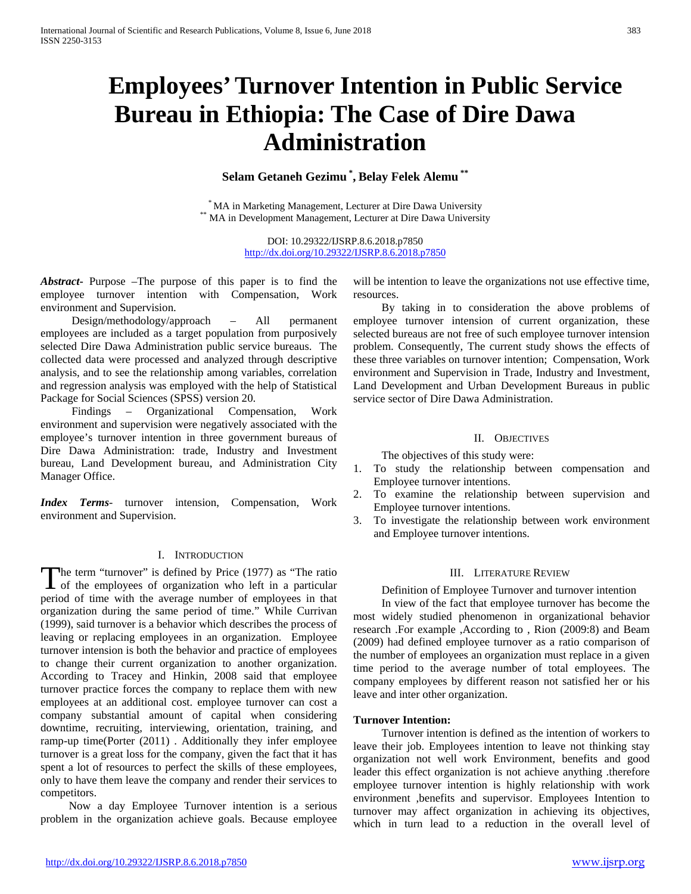# **Employees' Turnover Intention in Public Service Bureau in Ethiopia: The Case of Dire Dawa Administration**

**Selam Getaneh Gezimu \* , Belay Felek Alemu \*\***

\* MA in Marketing Management, Lecturer at Dire Dawa University \*\* MA in Development Management, Lecturer at Dire Dawa University

DOI: 10.29322/IJSRP.8.6.2018.p7850 <http://dx.doi.org/10.29322/IJSRP.8.6.2018.p7850>

*Abstract***-** Purpose –The purpose of this paper is to find the employee turnover intention with Compensation, Work environment and Supervision.

 Design/methodology/approach – All permanent employees are included as a target population from purposively selected Dire Dawa Administration public service bureaus. The collected data were processed and analyzed through descriptive analysis, and to see the relationship among variables, correlation and regression analysis was employed with the help of Statistical Package for Social Sciences (SPSS) version 20.

 Findings – Organizational Compensation, Work environment and supervision were negatively associated with the employee's turnover intention in three government bureaus of Dire Dawa Administration: trade, Industry and Investment bureau, Land Development bureau, and Administration City Manager Office.

*Index Terms*- turnover intension, Compensation, Work environment and Supervision.

### I. INTRODUCTION

The term "turnover" is defined by Price (1977) as "The ratio The term "turnover" is defined by Price (1977) as "The ratio of the employees of organization who left in a particular period of time with the average number of employees in that organization during the same period of time." While Currivan (1999), said turnover is a behavior which describes the process of leaving or replacing employees in an organization. Employee turnover intension is both the behavior and practice of employees to change their current organization to another organization. According to Tracey and Hinkin, 2008 said that employee turnover practice forces the company to replace them with new employees at an additional cost. employee turnover can cost a company substantial amount of capital when considering downtime, recruiting, interviewing, orientation, training, and ramp-up time(Porter (2011) . Additionally they infer employee turnover is a great loss for the company, given the fact that it has spent a lot of resources to perfect the skills of these employees, only to have them leave the company and render their services to competitors.

 Now a day Employee Turnover intention is a serious problem in the organization achieve goals. Because employee will be intention to leave the organizations not use effective time, resources.

 By taking in to consideration the above problems of employee turnover intension of current organization, these selected bureaus are not free of such employee turnover intension problem. Consequently, The current study shows the effects of these three variables on turnover intention; Compensation, Work environment and Supervision in Trade, Industry and Investment, Land Development and Urban Development Bureaus in public service sector of Dire Dawa Administration.

#### II. OBJECTIVES

The objectives of this study were:

- 1. To study the relationship between compensation and Employee turnover intentions.
- 2. To examine the relationship between supervision and Employee turnover intentions.
- 3. To investigate the relationship between work environment and Employee turnover intentions.

### III. LITERATURE REVIEW

 Definition of Employee Turnover and turnover intention In view of the fact that employee turnover has become the most widely studied phenomenon in organizational behavior research .For example ,According to , Rion (2009:8) and Beam (2009) had defined employee turnover as a ratio comparison of the number of employees an organization must replace in a given time period to the average number of total employees. The company employees by different reason not satisfied her or his leave and inter other organization.

### **Turnover Intention:**

 Turnover intention is defined as the intention of workers to leave their job. Employees intention to leave not thinking stay organization not well work Environment, benefits and good leader this effect organization is not achieve anything .therefore employee turnover intention is highly relationship with work environment ,benefits and supervisor. Employees Intention to turnover may affect organization in achieving its objectives, which in turn lead to a reduction in the overall level of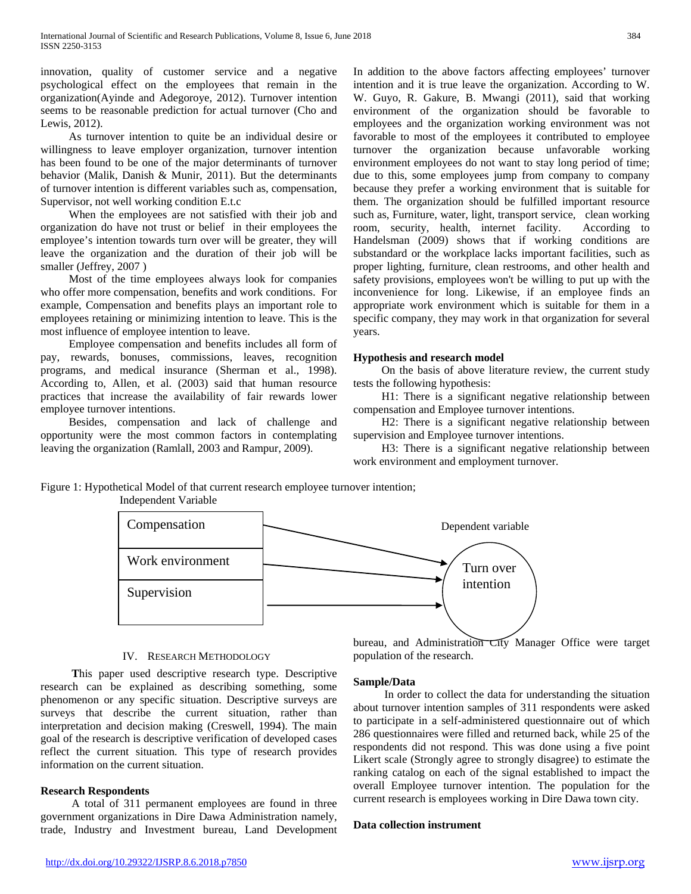innovation, quality of customer service and a negative psychological effect on the employees that remain in the organization(Ayinde and Adegoroye, 2012). Turnover intention seems to be reasonable prediction for actual turnover (Cho and Lewis, 2012).

 As turnover intention to quite be an individual desire or willingness to leave employer organization, turnover intention has been found to be one of the major determinants of turnover behavior (Malik, Danish & Munir, 2011). But the determinants of turnover intention is different variables such as, compensation, Supervisor, not well working condition E.t.c

 When the employees are not satisfied with their job and organization do have not trust or belief in their employees the employee's intention towards turn over will be greater, they will leave the organization and the duration of their job will be smaller (Jeffrey, 2007 )

 Most of the time employees always look for companies who offer more compensation, benefits and work conditions. For example, Compensation and benefits plays an important role to employees retaining or minimizing intention to leave. This is the most influence of employee intention to leave.

 Employee compensation and benefits includes all form of pay, rewards, bonuses, commissions, leaves, recognition programs, and medical insurance (Sherman et al., 1998). According to, Allen, et al. (2003) said that human resource practices that increase the availability of fair rewards lower employee turnover intentions.

 Besides, compensation and lack of challenge and opportunity were the most common factors in contemplating leaving the organization (Ramlall, 2003 and Rampur, 2009).

In addition to the above factors affecting employees' turnover intention and it is true leave the organization. According to W. W. Guyo, R. Gakure, B. Mwangi (2011), said that working environment of the organization should be favorable to employees and the organization working environment was not favorable to most of the employees it contributed to employee turnover the organization because unfavorable working environment employees do not want to stay long period of time; due to this, some employees jump from company to company because they prefer a working environment that is suitable for them. The organization should be fulfilled important resource such as, Furniture, water, light, transport service, clean working<br>room, security, health, internet facility. According to room, security, health, internet facility. Handelsman (2009) shows that if working conditions are substandard or the workplace lacks important facilities, such as proper lighting, furniture, clean restrooms, and other health and safety provisions, employees won't be willing to put up with the inconvenience for long. Likewise, if an employee finds an appropriate work environment which is suitable for them in a specific company, they may work in that organization for several years.

#### **Hypothesis and research model**

 On the basis of above literature review, the current study tests the following hypothesis:

 H1: There is a significant negative relationship between compensation and Employee turnover intentions.

 H2: There is a significant negative relationship between supervision and Employee turnover intentions.

 H3: There is a significant negative relationship between work environment and employment turnover.

Dependent variable

Figure 1: Hypothetical Model of that current research employee turnover intention; Independent Variable

Compensation



## IV. RESEARCH METHODOLOGY

 **T**his paper used descriptive research type. Descriptive research can be explained as describing something, some phenomenon or any specific situation. Descriptive surveys are surveys that describe the current situation, rather than interpretation and decision making (Creswell, 1994). The main goal of the research is descriptive verification of developed cases reflect the current situation. This type of research provides information on the current situation.

## **Research Respondents**

A total of 311 permanent employees are found in three government organizations in Dire Dawa Administration namely, trade, Industry and Investment bureau, Land Development bureau, and Administration City Manager Office were target population of the research.

#### **Sample/Data**

In order to collect the data for understanding the situation about turnover intention samples of 311 respondents were asked to participate in a self-administered questionnaire out of which 286 questionnaires were filled and returned back, while 25 of the respondents did not respond. This was done using a five point Likert scale (Strongly agree to strongly disagree) to estimate the ranking catalog on each of the signal established to impact the overall Employee turnover intention. The population for the current research is employees working in Dire Dawa town city.

#### **Data collection instrument**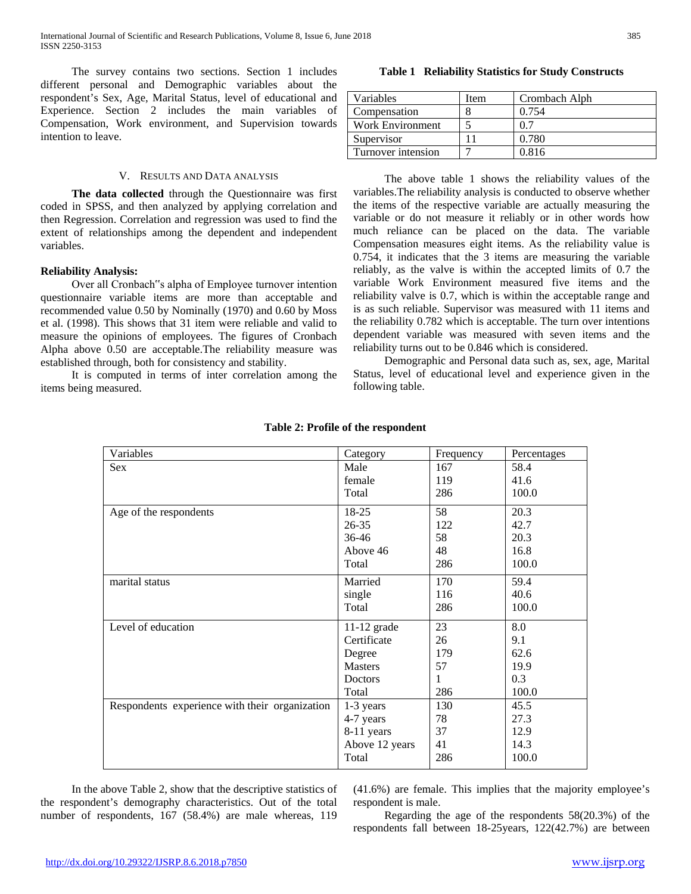The survey contains two sections. Section 1 includes different personal and Demographic variables about the respondent's Sex, Age, Marital Status, level of educational and Experience. Section 2 includes the main variables of Compensation, Work environment, and Supervision towards intention to leave.

### V. RESULTS AND DATA ANALYSIS

 **The data collected** through the Questionnaire was first coded in SPSS, and then analyzed by applying correlation and then Regression. Correlation and regression was used to find the extent of relationships among the dependent and independent variables.

#### **Reliability Analysis:**

Over all Cronbach"s alpha of Employee turnover intention questionnaire variable items are more than acceptable and recommended value 0.50 by Nominally (1970) and 0.60 by Moss et al. (1998). This shows that 31 item were reliable and valid to measure the opinions of employees. The figures of Cronbach Alpha above 0.50 are acceptable.The reliability measure was established through, both for consistency and stability.

It is computed in terms of inter correlation among the items being measured.

**Table 1 Reliability Statistics for Study Constructs**

The above table 1 shows the reliability values of the variables.The reliability analysis is conducted to observe whether the items of the respective variable are actually measuring the variable or do not measure it reliably or in other words how much reliance can be placed on the data. The variable Compensation measures eight items. As the reliability value is 0.754, it indicates that the 3 items are measuring the variable reliably, as the valve is within the accepted limits of 0.7 the variable Work Environment measured five items and the reliability valve is 0.7, which is within the acceptable range and is as such reliable. Supervisor was measured with 11 items and the reliability 0.782 which is acceptable. The turn over intentions dependent variable was measured with seven items and the reliability turns out to be 0.846 which is considered.

Demographic and Personal data such as, sex, age, Marital Status, level of educational level and experience given in the following table.

| Variables                                      | Category       | Frequency | Percentages |
|------------------------------------------------|----------------|-----------|-------------|
| Sex                                            | Male           | 167       | 58.4        |
|                                                | female         | 119       | 41.6        |
|                                                | Total          | 286       | 100.0       |
| Age of the respondents                         | $18-25$        | 58        | 20.3        |
|                                                | $26 - 35$      | 122       | 42.7        |
|                                                | 36-46          | 58        | 20.3        |
|                                                | Above 46       | 48        | 16.8        |
|                                                | Total          | 286       | 100.0       |
| marital status                                 | Married        | 170       | 59.4        |
|                                                | single         | 116       | 40.6        |
|                                                | Total          | 286       | 100.0       |
| Level of education                             | $11-12$ grade  | 23        | 8.0         |
|                                                | Certificate    | 26        | 9.1         |
|                                                | Degree         | 179       | 62.6        |
|                                                | <b>Masters</b> | 57        | 19.9        |
|                                                | Doctors        | 1         | 0.3         |
|                                                | Total          | 286       | 100.0       |
| Respondents experience with their organization | $1-3$ years    | 130       | 45.5        |
|                                                | 4-7 years      | 78        | 27.3        |
|                                                | 8-11 years     | 37        | 12.9        |
|                                                | Above 12 years | 41        | 14.3        |
|                                                | Total          | 286       | 100.0       |

#### **Table 2: Profile of the respondent**

In the above Table 2, show that the descriptive statistics of the respondent's demography characteristics. Out of the total number of respondents, 167 (58.4%) are male whereas, 119 (41.6%) are female. This implies that the majority employee's respondent is male.

Regarding the age of the respondents 58(20.3%) of the respondents fall between 18-25years, 122(42.7%) are between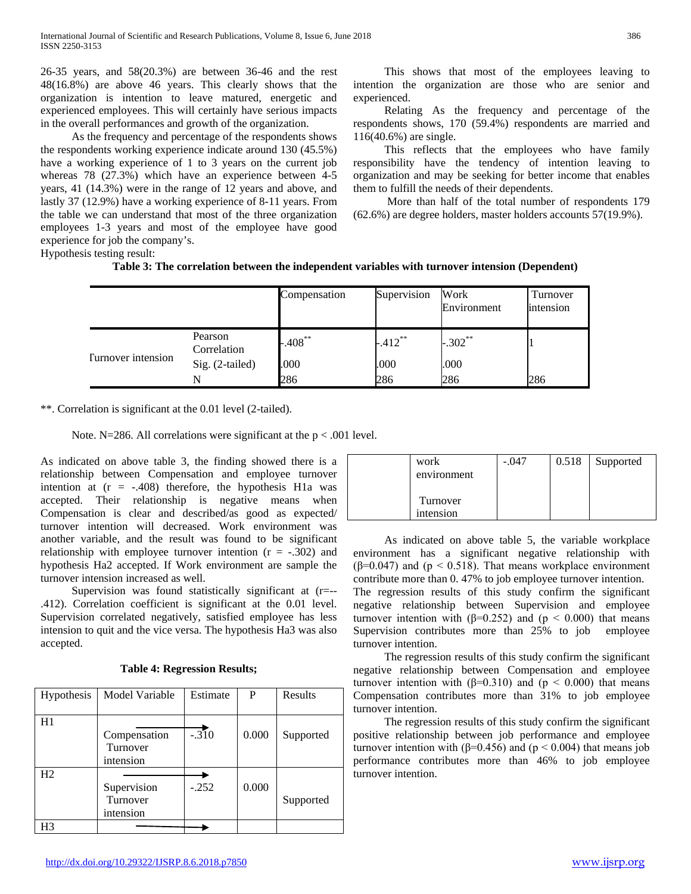26-35 years, and 58(20.3%) are between 36-46 and the rest 48(16.8%) are above 46 years. This clearly shows that the organization is intention to leave matured, energetic and experienced employees. This will certainly have serious impacts in the overall performances and growth of the organization.

As the frequency and percentage of the respondents shows the respondents working experience indicate around 130 (45.5%) have a working experience of 1 to 3 years on the current job whereas 78 (27.3%) which have an experience between 4-5 years, 41 (14.3%) were in the range of 12 years and above, and lastly 37 (12.9%) have a working experience of 8-11 years. From the table we can understand that most of the three organization employees 1-3 years and most of the employee have good experience for job the company's.

This shows that most of the employees leaving to intention the organization are those who are senior and experienced.

Relating As the frequency and percentage of the respondents shows, 170 (59.4%) respondents are married and 116(40.6%) are single.

This reflects that the employees who have family responsibility have the tendency of intention leaving to organization and may be seeking for better income that enables them to fulfill the needs of their dependents.

More than half of the total number of respondents 179 (62.6%) are degree holders, master holders accounts 57(19.9%).

Hypothesis testing result:

| Table 3: The correlation between the independent variables with turnover intension (Dependent) |  |  |  |
|------------------------------------------------------------------------------------------------|--|--|--|
|------------------------------------------------------------------------------------------------|--|--|--|

|                           |                        | Compensation | Supervision | Work<br>Environment | Turnover<br>intension |
|---------------------------|------------------------|--------------|-------------|---------------------|-----------------------|
| <b>Turnover</b> intension | Pearson<br>Correlation | $-0.408$ **  | $-412**$    | $-.302**$           |                       |
|                           | Sig. (2-tailed)        | .000         | .000        | .000                |                       |
|                           | N                      | 286          | 286         | 286                 | 286                   |

\*\*. Correlation is significant at the 0.01 level (2-tailed).

Note. N=286. All correlations were significant at the  $p < .001$  level.

As indicated on above table 3, the finding showed there is a relationship between Compensation and employee turnover intention at  $(r = -.408)$  therefore, the hypothesis H1a was accepted. Their relationship is negative means when Compensation is clear and described/as good as expected/ turnover intention will decreased. Work environment was another variable, and the result was found to be significant relationship with employee turnover intention  $(r = -.302)$  and hypothesis Ha2 accepted. If Work environment are sample the turnover intension increased as well.

Supervision was found statistically significant at (r=-- .412). Correlation coefficient is significant at the 0.01 level. Supervision correlated negatively, satisfied employee has less intension to quit and the vice versa. The hypothesis Ha3 was also accepted.

| Hypothesis     | Model Variable                        | Estimate | P     | Results   |
|----------------|---------------------------------------|----------|-------|-----------|
| H1             | Compensation<br>Turnover<br>intension | $-.310$  | 0.000 | Supported |
| H2             | Supervision<br>Turnover<br>intension  | $-.252$  | 0.000 | Supported |
| H <sub>3</sub> |                                       |          |       |           |

## **Table 4: Regression Results;**

| work<br>environment   | $-.047$ | 0.518 | Supported |
|-----------------------|---------|-------|-----------|
| Turnover<br>intension |         |       |           |

As indicated on above table 5, the variable workplace environment has a significant negative relationship with ( $\beta$ =0.047) and ( $p < 0.518$ ). That means workplace environment contribute more than 0. 47% to job employee turnover intention. The regression results of this study confirm the significant negative relationship between Supervision and employee turnover intention with (β=0.252) and ( $p < 0.000$ ) that means Supervision contributes more than 25% to job employee turnover intention.

The regression results of this study confirm the significant negative relationship between Compensation and employee turnover intention with ( $β=0.310$ ) and ( $p < 0.000$ ) that means Compensation contributes more than 31% to job employee turnover intention.

The regression results of this study confirm the significant positive relationship between job performance and employee turnover intention with (β=0.456) and ( $p < 0.004$ ) that means job performance contributes more than 46% to job employee turnover intention.